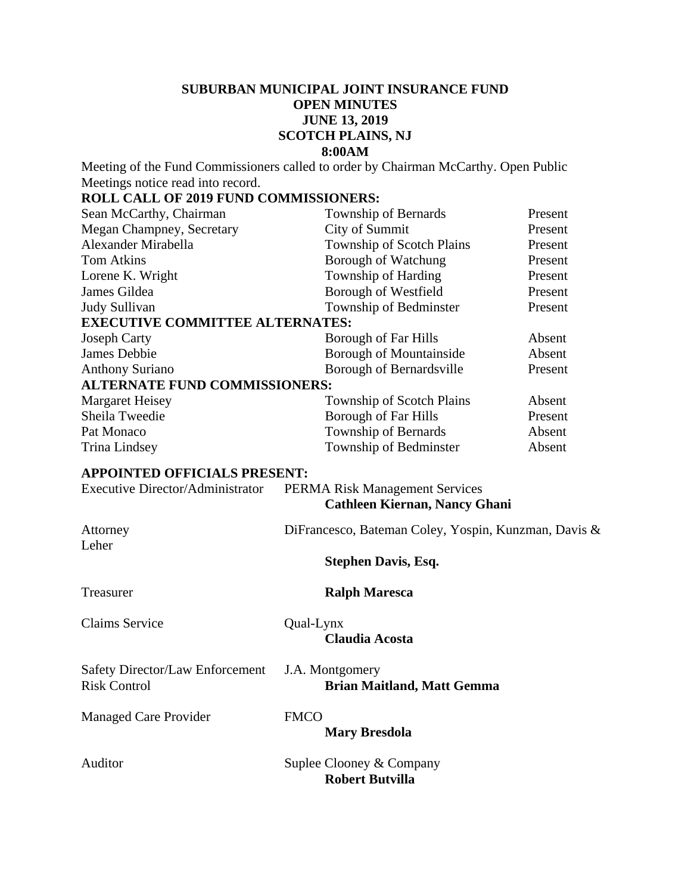# **SUBURBAN MUNICIPAL JOINT INSURANCE FUND OPEN MINUTES JUNE 13, 2019 SCOTCH PLAINS, NJ 8:00AM**

Meeting of the Fund Commissioners called to order by Chairman McCarthy. Open Public Meetings notice read into record.

# **ROLL CALL OF 2019 FUND COMMISSIONERS:**

| Sean McCarthy, Chairman                 |             | Township of Bernards                                                          | Present |
|-----------------------------------------|-------------|-------------------------------------------------------------------------------|---------|
| Megan Champney, Secretary               |             | City of Summit                                                                | Present |
| Alexander Mirabella                     |             | Township of Scotch Plains                                                     | Present |
| <b>Tom Atkins</b>                       |             | <b>Borough of Watchung</b>                                                    | Present |
| Lorene K. Wright                        |             | Township of Harding                                                           | Present |
| James Gildea                            |             | Borough of Westfield                                                          | Present |
| Judy Sullivan                           |             | Township of Bedminster                                                        | Present |
| <b>EXECUTIVE COMMITTEE ALTERNATES:</b>  |             |                                                                               |         |
| <b>Joseph Carty</b>                     |             | Borough of Far Hills                                                          | Absent  |
| <b>James Debbie</b>                     |             | Borough of Mountainside                                                       | Absent  |
| <b>Anthony Suriano</b>                  |             | Borough of Bernardsville                                                      | Present |
| <b>ALTERNATE FUND COMMISSIONERS:</b>    |             |                                                                               |         |
| <b>Margaret Heisey</b>                  |             | Township of Scotch Plains                                                     | Absent  |
| Sheila Tweedie                          |             | Borough of Far Hills                                                          | Present |
| Pat Monaco                              |             | Township of Bernards                                                          | Absent  |
| <b>Trina Lindsey</b>                    |             | Township of Bedminster                                                        | Absent  |
| <b>APPOINTED OFFICIALS PRESENT:</b>     |             |                                                                               |         |
| <b>Executive Director/Administrator</b> |             |                                                                               |         |
|                                         |             | <b>PERMA Risk Management Services</b><br><b>Cathleen Kiernan, Nancy Ghani</b> |         |
|                                         |             |                                                                               |         |
| Attorney                                |             | DiFrancesco, Bateman Coley, Yospin, Kunzman, Davis &                          |         |
| Leher                                   |             |                                                                               |         |
|                                         |             | <b>Stephen Davis, Esq.</b>                                                    |         |
|                                         |             |                                                                               |         |
| Treasurer                               |             | <b>Ralph Maresca</b>                                                          |         |
|                                         |             |                                                                               |         |
| <b>Claims Service</b>                   | Qual-Lynx   |                                                                               |         |
|                                         |             | <b>Claudia Acosta</b>                                                         |         |
| <b>Safety Director/Law Enforcement</b>  |             |                                                                               |         |
| <b>Risk Control</b>                     |             | J.A. Montgomery<br><b>Brian Maitland, Matt Gemma</b>                          |         |
|                                         |             |                                                                               |         |
| <b>Managed Care Provider</b>            | <b>FMCO</b> |                                                                               |         |
|                                         |             | <b>Mary Bresdola</b>                                                          |         |
|                                         |             |                                                                               |         |
| Auditor                                 |             | Suplee Clooney & Company                                                      |         |
|                                         |             | <b>Robert Butvilla</b>                                                        |         |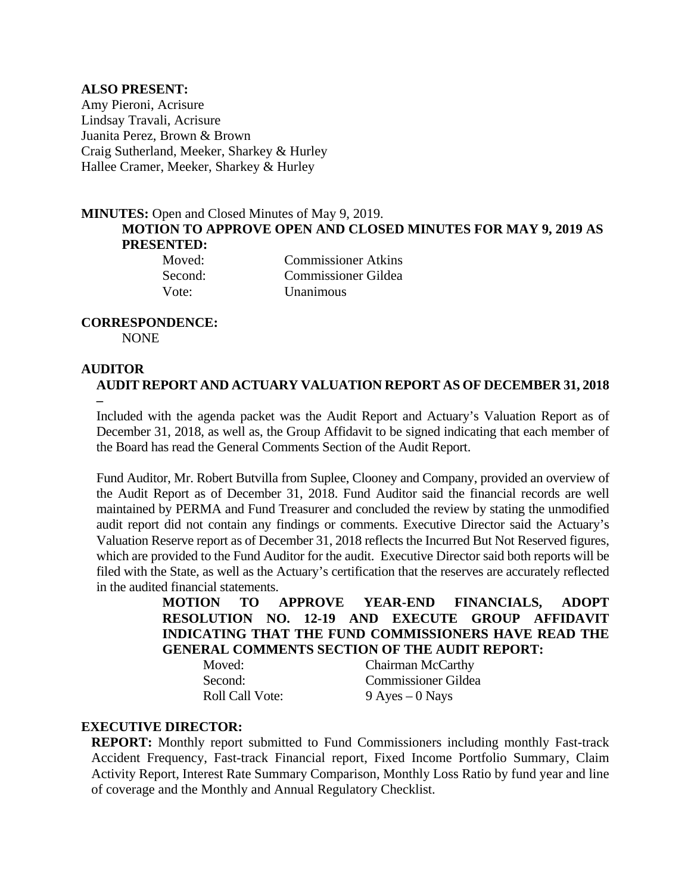### **ALSO PRESENT:**

Amy Pieroni, Acrisure Lindsay Travali, Acrisure Juanita Perez, Brown & Brown Craig Sutherland, Meeker, Sharkey & Hurley Hallee Cramer, Meeker, Sharkey & Hurley

# **MINUTES:** Open and Closed Minutes of May 9, 2019. **MOTION TO APPROVE OPEN AND CLOSED MINUTES FOR MAY 9, 2019 AS PRESENTED:**

Moved: Commissioner Atkins Second: Commissioner Gildea Vote: Unanimous

# **CORRESPONDENCE:**

NONE

## **AUDITOR**

**AUDIT REPORT AND ACTUARY VALUATION REPORT AS OF DECEMBER 31, 2018 –** 

Included with the agenda packet was the Audit Report and Actuary's Valuation Report as of December 31, 2018, as well as, the Group Affidavit to be signed indicating that each member of the Board has read the General Comments Section of the Audit Report.

Fund Auditor, Mr. Robert Butvilla from Suplee, Clooney and Company, provided an overview of the Audit Report as of December 31, 2018. Fund Auditor said the financial records are well maintained by PERMA and Fund Treasurer and concluded the review by stating the unmodified audit report did not contain any findings or comments. Executive Director said the Actuary's Valuation Reserve report as of December 31, 2018 reflects the Incurred But Not Reserved figures, which are provided to the Fund Auditor for the audit. Executive Director said both reports will be filed with the State, as well as the Actuary's certification that the reserves are accurately reflected in the audited financial statements.

**MOTION TO APPROVE YEAR-END FINANCIALS, ADOPT RESOLUTION NO. 12-19 AND EXECUTE GROUP AFFIDAVIT INDICATING THAT THE FUND COMMISSIONERS HAVE READ THE GENERAL COMMENTS SECTION OF THE AUDIT REPORT:** 

Moved: Chairman McCarthy Second: Commissioner Gildea Roll Call Vote: 9 Ayes – 0 Nays

## **EXECUTIVE DIRECTOR:**

**REPORT:** Monthly report submitted to Fund Commissioners including monthly Fast-track Accident Frequency, Fast-track Financial report, Fixed Income Portfolio Summary, Claim Activity Report, Interest Rate Summary Comparison, Monthly Loss Ratio by fund year and line of coverage and the Monthly and Annual Regulatory Checklist.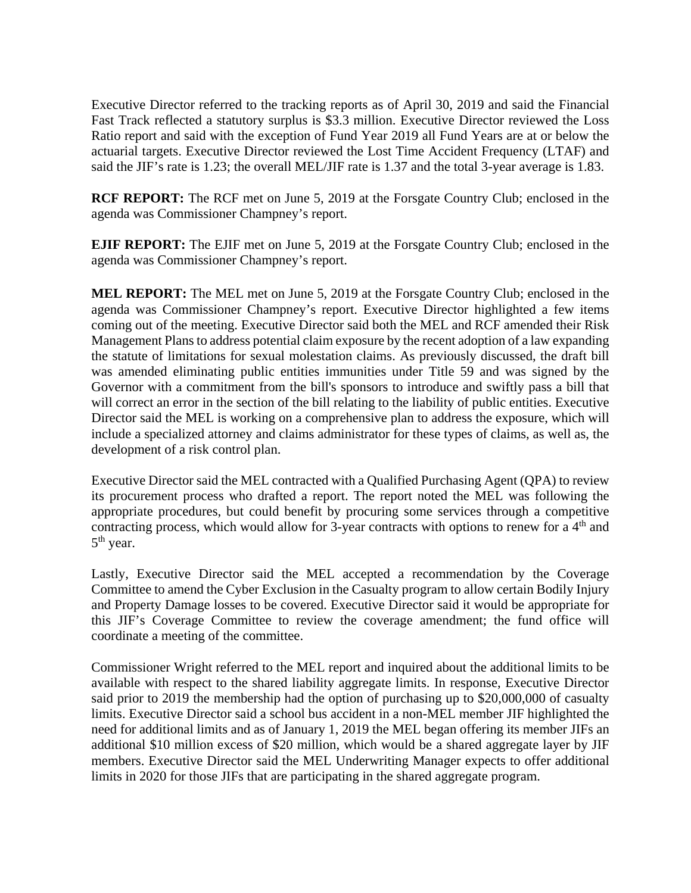Executive Director referred to the tracking reports as of April 30, 2019 and said the Financial Fast Track reflected a statutory surplus is \$3.3 million. Executive Director reviewed the Loss Ratio report and said with the exception of Fund Year 2019 all Fund Years are at or below the actuarial targets. Executive Director reviewed the Lost Time Accident Frequency (LTAF) and said the JIF's rate is 1.23; the overall MEL/JIF rate is 1.37 and the total 3-year average is 1.83.

**RCF REPORT:** The RCF met on June 5, 2019 at the Forsgate Country Club; enclosed in the agenda was Commissioner Champney's report.

**EJIF REPORT:** The EJIF met on June 5, 2019 at the Forsgate Country Club; enclosed in the agenda was Commissioner Champney's report.

**MEL REPORT:** The MEL met on June 5, 2019 at the Forsgate Country Club; enclosed in the agenda was Commissioner Champney's report. Executive Director highlighted a few items coming out of the meeting. Executive Director said both the MEL and RCF amended their Risk Management Plans to address potential claim exposure by the recent adoption of a law expanding the statute of limitations for sexual molestation claims. As previously discussed, the draft bill was amended eliminating public entities immunities under Title 59 and was signed by the Governor with a commitment from the bill's sponsors to introduce and swiftly pass a bill that will correct an error in the section of the bill relating to the liability of public entities. Executive Director said the MEL is working on a comprehensive plan to address the exposure, which will include a specialized attorney and claims administrator for these types of claims, as well as, the development of a risk control plan.

Executive Director said the MEL contracted with a Qualified Purchasing Agent (QPA) to review its procurement process who drafted a report. The report noted the MEL was following the appropriate procedures, but could benefit by procuring some services through a competitive contracting process, which would allow for 3-year contracts with options to renew for a 4<sup>th</sup> and 5<sup>th</sup> year.

Lastly, Executive Director said the MEL accepted a recommendation by the Coverage Committee to amend the Cyber Exclusion in the Casualty program to allow certain Bodily Injury and Property Damage losses to be covered. Executive Director said it would be appropriate for this JIF's Coverage Committee to review the coverage amendment; the fund office will coordinate a meeting of the committee.

Commissioner Wright referred to the MEL report and inquired about the additional limits to be available with respect to the shared liability aggregate limits. In response, Executive Director said prior to 2019 the membership had the option of purchasing up to \$20,000,000 of casualty limits. Executive Director said a school bus accident in a non-MEL member JIF highlighted the need for additional limits and as of January 1, 2019 the MEL began offering its member JIFs an additional \$10 million excess of \$20 million, which would be a shared aggregate layer by JIF members. Executive Director said the MEL Underwriting Manager expects to offer additional limits in 2020 for those JIFs that are participating in the shared aggregate program.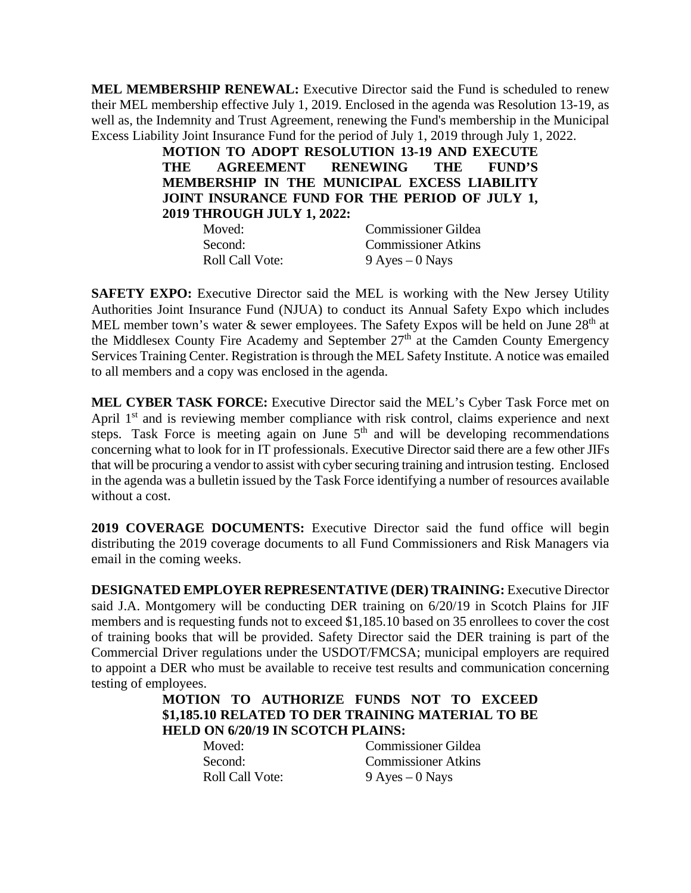**MEL MEMBERSHIP RENEWAL:** Executive Director said the Fund is scheduled to renew their MEL membership effective July 1, 2019. Enclosed in the agenda was Resolution 13-19, as well as, the Indemnity and Trust Agreement, renewing the Fund's membership in the Municipal Excess Liability Joint Insurance Fund for the period of July 1, 2019 through July 1, 2022.

> **MOTION TO ADOPT RESOLUTION 13-19 AND EXECUTE THE AGREEMENT RENEWING THE FUND'S MEMBERSHIP IN THE MUNICIPAL EXCESS LIABILITY JOINT INSURANCE FUND FOR THE PERIOD OF JULY 1, 2019 THROUGH JULY 1, 2022:**

| Moved:                 | <b>Commissioner Gildea</b> |
|------------------------|----------------------------|
| Second:                | <b>Commissioner Atkins</b> |
| <b>Roll Call Vote:</b> | $9$ Ayes $-0$ Nays         |

**SAFETY EXPO:** Executive Director said the MEL is working with the New Jersey Utility Authorities Joint Insurance Fund (NJUA) to conduct its Annual Safety Expo which includes MEL member town's water  $\&$  sewer employees. The Safety Expos will be held on June 28<sup>th</sup> at the Middlesex County Fire Academy and September 27<sup>th</sup> at the Camden County Emergency Services Training Center. Registration is through the MEL Safety Institute. A notice was emailed to all members and a copy was enclosed in the agenda.

**MEL CYBER TASK FORCE:** Executive Director said the MEL's Cyber Task Force met on April 1<sup>st</sup> and is reviewing member compliance with risk control, claims experience and next steps. Task Force is meeting again on June  $5<sup>th</sup>$  and will be developing recommendations concerning what to look for in IT professionals. Executive Director said there are a few other JIFs that will be procuring a vendor to assist with cyber securing training and intrusion testing. Enclosed in the agenda was a bulletin issued by the Task Force identifying a number of resources available without a cost.

**2019 COVERAGE DOCUMENTS:** Executive Director said the fund office will begin distributing the 2019 coverage documents to all Fund Commissioners and Risk Managers via email in the coming weeks.

**DESIGNATED EMPLOYER REPRESENTATIVE (DER) TRAINING:** Executive Director said J.A. Montgomery will be conducting DER training on 6/20/19 in Scotch Plains for JIF members and is requesting funds not to exceed \$1,185.10 based on 35 enrollees to cover the cost of training books that will be provided. Safety Director said the DER training is part of the Commercial Driver regulations under the USDOT/FMCSA; municipal employers are required to appoint a DER who must be available to receive test results and communication concerning testing of employees.

# **MOTION TO AUTHORIZE FUNDS NOT TO EXCEED \$1,185.10 RELATED TO DER TRAINING MATERIAL TO BE HELD ON 6/20/19 IN SCOTCH PLAINS:**

 Moved: Commissioner Gildea Second: Commissioner Atkins Roll Call Vote: 9 Ayes – 0 Nays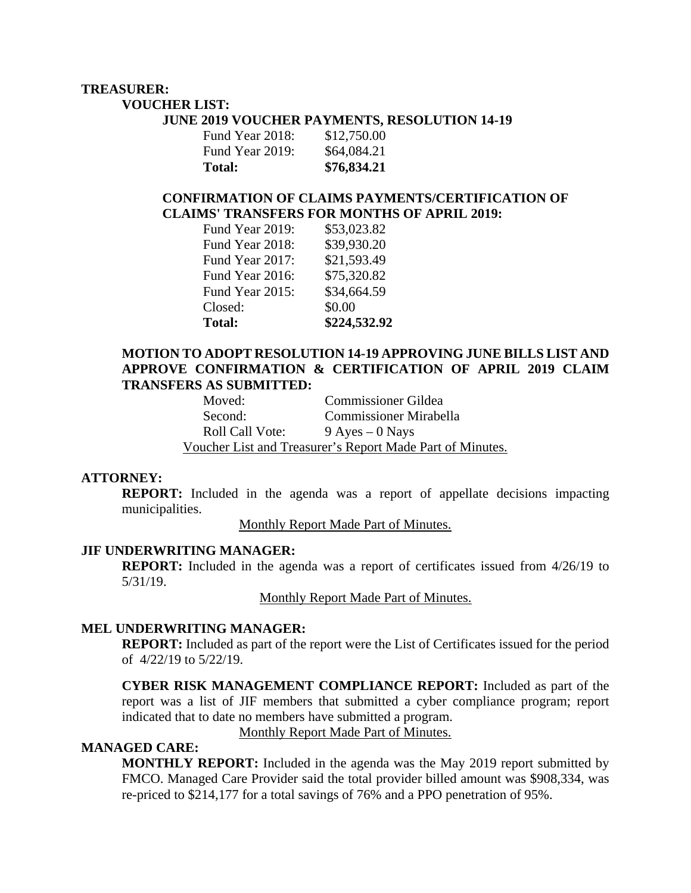# **TREASURER:**

**VOUCHER LIST:** 

#### **JUNE 2019 VOUCHER PAYMENTS, RESOLUTION 14-19**

| Fund Year 2019: | \$64,084.21 |
|-----------------|-------------|
| Total:          | \$76,834.21 |

## **CONFIRMATION OF CLAIMS PAYMENTS/CERTIFICATION OF CLAIMS' TRANSFERS FOR MONTHS OF APRIL 2019:**

| <b>Total:</b>   | \$224,532.92 |
|-----------------|--------------|
| Closed:         | \$0.00       |
| Fund Year 2015: | \$34,664.59  |
| Fund Year 2016: | \$75,320.82  |
| Fund Year 2017: | \$21,593.49  |
| Fund Year 2018: | \$39,930.20  |
| Fund Year 2019: | \$53,023.82  |

### **MOTION TO ADOPT RESOLUTION 14-19 APPROVING JUNE BILLS LIST AND APPROVE CONFIRMATION & CERTIFICATION OF APRIL 2019 CLAIM TRANSFERS AS SUBMITTED:**

| Moved:                 | Commissioner Gildea                                       |
|------------------------|-----------------------------------------------------------|
| Second:                | <b>Commissioner Mirabella</b>                             |
| <b>Roll Call Vote:</b> | $9$ Ayes $-0$ Nays                                        |
|                        | Voucher List and Treasurer's Report Made Part of Minutes. |

### **ATTORNEY:**

**REPORT:** Included in the agenda was a report of appellate decisions impacting municipalities.

Monthly Report Made Part of Minutes.

### **JIF UNDERWRITING MANAGER:**

**REPORT:** Included in the agenda was a report of certificates issued from  $4/26/19$  to 5/31/19.

Monthly Report Made Part of Minutes.

### **MEL UNDERWRITING MANAGER:**

**REPORT:** Included as part of the report were the List of Certificates issued for the period of 4/22/19 to 5/22/19.

**CYBER RISK MANAGEMENT COMPLIANCE REPORT:** Included as part of the report was a list of JIF members that submitted a cyber compliance program; report indicated that to date no members have submitted a program.

Monthly Report Made Part of Minutes.

# **MANAGED CARE:**

**MONTHLY REPORT:** Included in the agenda was the May 2019 report submitted by FMCO. Managed Care Provider said the total provider billed amount was \$908,334, was re-priced to \$214,177 for a total savings of 76% and a PPO penetration of 95%.